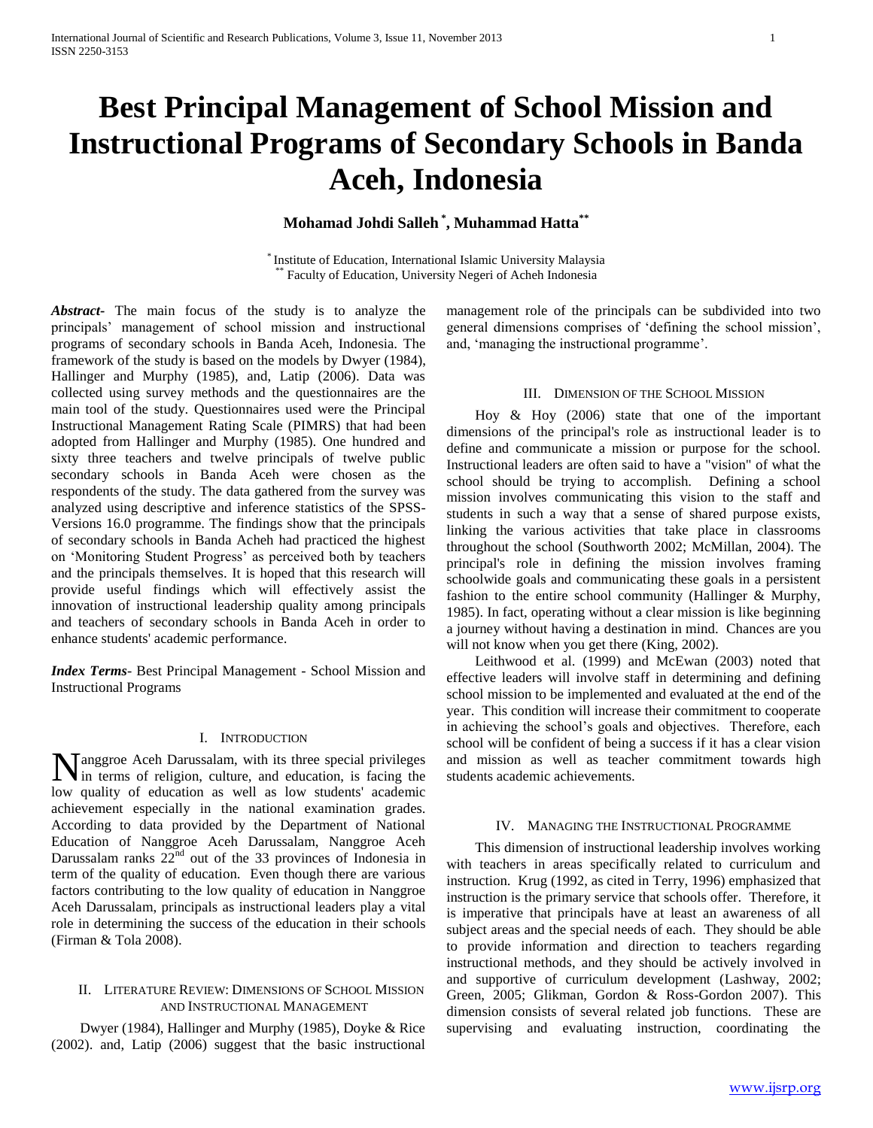# **Best Principal Management of School Mission and Instructional Programs of Secondary Schools in Banda Aceh, Indonesia**

# **Mohamad Johdi Salleh \* , Muhammad Hatta\*\***

\* Institute of Education, International Islamic University Malaysia Faculty of Education, University Negeri of Acheh Indonesia

*Abstract***-** The main focus of the study is to analyze the principals' management of school mission and instructional programs of secondary schools in Banda Aceh, Indonesia. The framework of the study is based on the models by Dwyer (1984), Hallinger and Murphy (1985), and, Latip (2006). Data was collected using survey methods and the questionnaires are the main tool of the study. Questionnaires used were the Principal Instructional Management Rating Scale (PIMRS) that had been adopted from Hallinger and Murphy (1985). One hundred and sixty three teachers and twelve principals of twelve public secondary schools in Banda Aceh were chosen as the respondents of the study. The data gathered from the survey was analyzed using descriptive and inference statistics of the SPSS-Versions 16.0 programme. The findings show that the principals of secondary schools in Banda Acheh had practiced the highest on 'Monitoring Student Progress' as perceived both by teachers and the principals themselves. It is hoped that this research will provide useful findings which will effectively assist the innovation of instructional leadership quality among principals and teachers of secondary schools in Banda Aceh in order to enhance students' academic performance.

*Index Terms*- Best Principal Management - School Mission and Instructional Programs

## I. INTRODUCTION

Manggroe Aceh Darussalam, with its three special privileges<br>in terms of religion, culture, and education, is facing the In terms of religion, culture, and education, is facing the low quality of education as well as low students' academic achievement especially in the national examination grades. According to data provided by the Department of National Education of Nanggroe Aceh Darussalam, Nanggroe Aceh Darussalam ranks  $22<sup>nd</sup>$  out of the 33 provinces of Indonesia in term of the quality of education. Even though there are various factors contributing to the low quality of education in Nanggroe Aceh Darussalam, principals as instructional leaders play a vital role in determining the success of the education in their schools (Firman & Tola 2008).

#### II. LITERATURE REVIEW: DIMENSIONS OF SCHOOL MISSION AND INSTRUCTIONAL MANAGEMENT

 Dwyer (1984), Hallinger and Murphy (1985), Doyke & Rice (2002). and, Latip (2006) suggest that the basic instructional

management role of the principals can be subdivided into two general dimensions comprises of 'defining the school mission', and, 'managing the instructional programme'.

#### III. DIMENSION OF THE SCHOOL MISSION

 Hoy & Hoy (2006) state that one of the important dimensions of the principal's role as instructional leader is to define and communicate a mission or purpose for the school. Instructional leaders are often said to have a "vision" of what the school should be trying to accomplish. Defining a school mission involves communicating this vision to the staff and students in such a way that a sense of shared purpose exists, linking the various activities that take place in classrooms throughout the school (Southworth 2002; McMillan, 2004). The principal's role in defining the mission involves framing schoolwide goals and communicating these goals in a persistent fashion to the entire school community (Hallinger & Murphy, 1985). In fact, operating without a clear mission is like beginning a journey without having a destination in mind. Chances are you will not know when you get there (King, 2002).

 Leithwood et al. (1999) and McEwan (2003) noted that effective leaders will involve staff in determining and defining school mission to be implemented and evaluated at the end of the year. This condition will increase their commitment to cooperate in achieving the school's goals and objectives. Therefore, each school will be confident of being a success if it has a clear vision and mission as well as teacher commitment towards high students academic achievements.

#### IV. MANAGING THE INSTRUCTIONAL PROGRAMME

 This dimension of instructional leadership involves working with teachers in areas specifically related to curriculum and instruction. Krug (1992, as cited in Terry, 1996) emphasized that instruction is the primary service that schools offer. Therefore, it is imperative that principals have at least an awareness of all subject areas and the special needs of each. They should be able to provide information and direction to teachers regarding instructional methods, and they should be actively involved in and supportive of curriculum development (Lashway, 2002; Green, 2005; Glikman, Gordon & Ross-Gordon 2007). This dimension consists of several related job functions. These are supervising and evaluating instruction, coordinating the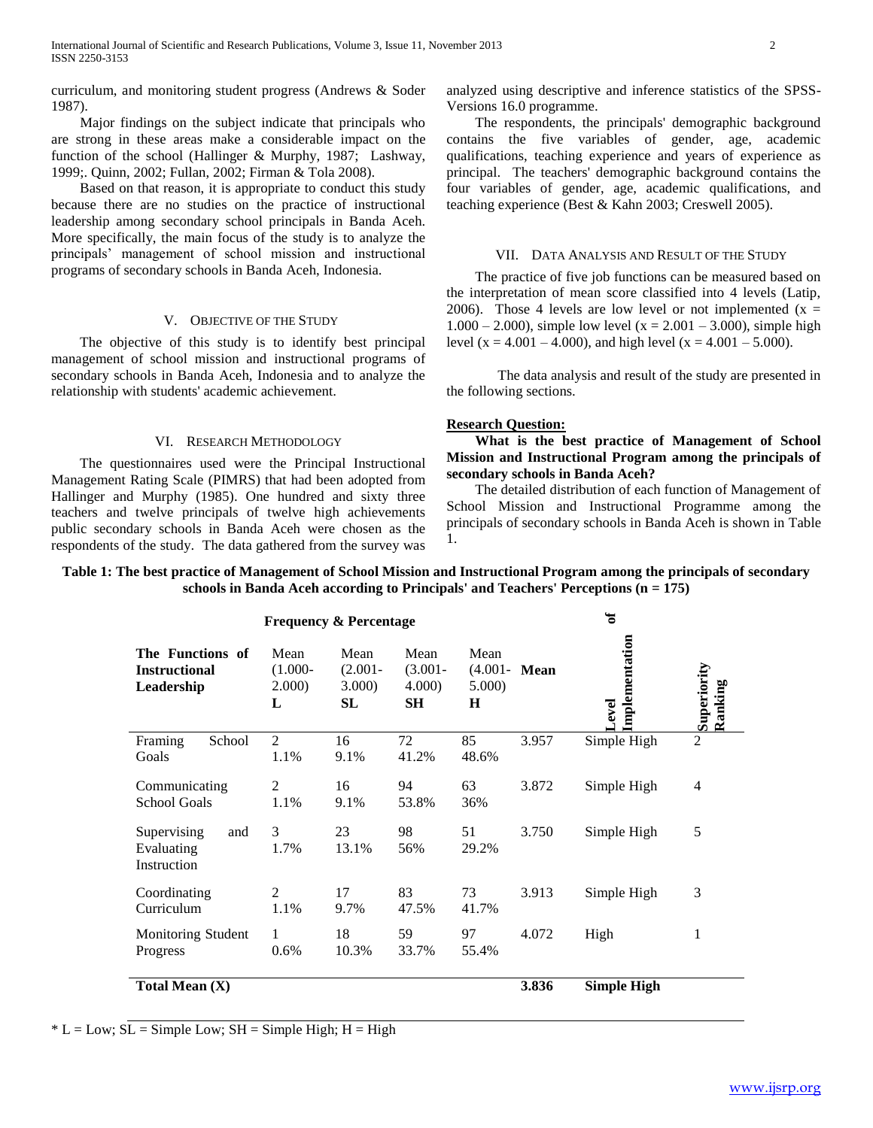curriculum, and monitoring student progress (Andrews & Soder 1987).

 Major findings on the subject indicate that principals who are strong in these areas make a considerable impact on the function of the school (Hallinger & Murphy, 1987; Lashway, 1999;. Quinn, 2002; Fullan, 2002; Firman & Tola 2008).

 Based on that reason, it is appropriate to conduct this study because there are no studies on the practice of instructional leadership among secondary school principals in Banda Aceh. More specifically, the main focus of the study is to analyze the principals' management of school mission and instructional programs of secondary schools in Banda Aceh, Indonesia.

## V. OBJECTIVE OF THE STUDY

 The objective of this study is to identify best principal management of school mission and instructional programs of secondary schools in Banda Aceh, Indonesia and to analyze the relationship with students' academic achievement.

#### VI. RESEARCH METHODOLOGY

 The questionnaires used were the Principal Instructional Management Rating Scale (PIMRS) that had been adopted from Hallinger and Murphy (1985). One hundred and sixty three teachers and twelve principals of twelve high achievements public secondary schools in Banda Aceh were chosen as the respondents of the study. The data gathered from the survey was

analyzed using descriptive and inference statistics of the SPSS-Versions 16.0 programme.

 The respondents, the principals' demographic background contains the five variables of gender, age, academic qualifications, teaching experience and years of experience as principal. The teachers' demographic background contains the four variables of gender, age, academic qualifications, and teaching experience (Best & Kahn 2003; Creswell 2005).

#### VII. DATA ANALYSIS AND RESULT OF THE STUDY

 The practice of five job functions can be measured based on the interpretation of mean score classified into 4 levels (Latip, 2006). Those 4 levels are low level or not implemented  $(x =$  $1.000 - 2.000$ , simple low level (x = 2.001 – 3.000), simple high level (x = 4.001 – 4.000), and high level (x = 4.001 – 5.000).

The data analysis and result of the study are presented in the following sections.

### **Research Question:**

 **What is the best practice of Management of School Mission and Instructional Program among the principals of secondary schools in Banda Aceh?**

 The detailed distribution of each function of Management of School Mission and Instructional Programme among the principals of secondary schools in Banda Aceh is shown in Table 1.

# **Table 1: The best practice of Management of School Mission and Instructional Program among the principals of secondary schools in Banda Aceh according to Principals' and Teachers' Perceptions (n = 175)**

| <b>Frequency &amp; Percentage</b>                      |                                   |                                    |                                    |                                        | ಕ     |                         |                        |
|--------------------------------------------------------|-----------------------------------|------------------------------------|------------------------------------|----------------------------------------|-------|-------------------------|------------------------|
| The Functions of<br><b>Instructional</b><br>Leadership | Mean<br>$(1.000 -$<br>2.000)<br>L | Mean<br>$(2.001 -$<br>3.000)<br>SL | Mean<br>$(3.001 -$<br>4.000)<br>SН | Mean<br>$(4.001 - Mean)$<br>5.000<br>H |       | Implementation<br>Level | Superiority<br>Ranking |
| Framing<br>School<br>Goals                             | 2<br>1.1%                         | 16<br>9.1%                         | 72<br>41.2%                        | 85<br>48.6%                            | 3.957 | Simple High             | $\overline{2}$         |
| Communicating<br><b>School Goals</b>                   | 2<br>1.1%                         | 16<br>9.1%                         | 94<br>53.8%                        | 63<br>36%                              | 3.872 | Simple High             | 4                      |
| Supervising<br>and<br>Evaluating<br>Instruction        | $\mathcal{E}$<br>1.7%             | 23<br>13.1%                        | 98<br>56%                          | 51<br>29.2%                            | 3.750 | Simple High             | 5                      |
| Coordinating<br>Curriculum                             | $\mathfrak{D}$<br>1.1%            | 17<br>9.7%                         | 83<br>47.5%                        | 73<br>41.7%                            | 3.913 | Simple High             | 3                      |
| Monitoring Student<br>Progress                         | 1<br>0.6%                         | 18<br>10.3%                        | 59<br>33.7%                        | 97<br>55.4%                            | 4.072 | High                    | 1                      |
| Total Mean $(X)$                                       |                                   |                                    |                                    |                                        | 3.836 | <b>Simple High</b>      |                        |

 $* L = Low$ ;  $SL = Simple Low$ ;  $SH = Simple High$ ;  $H = High$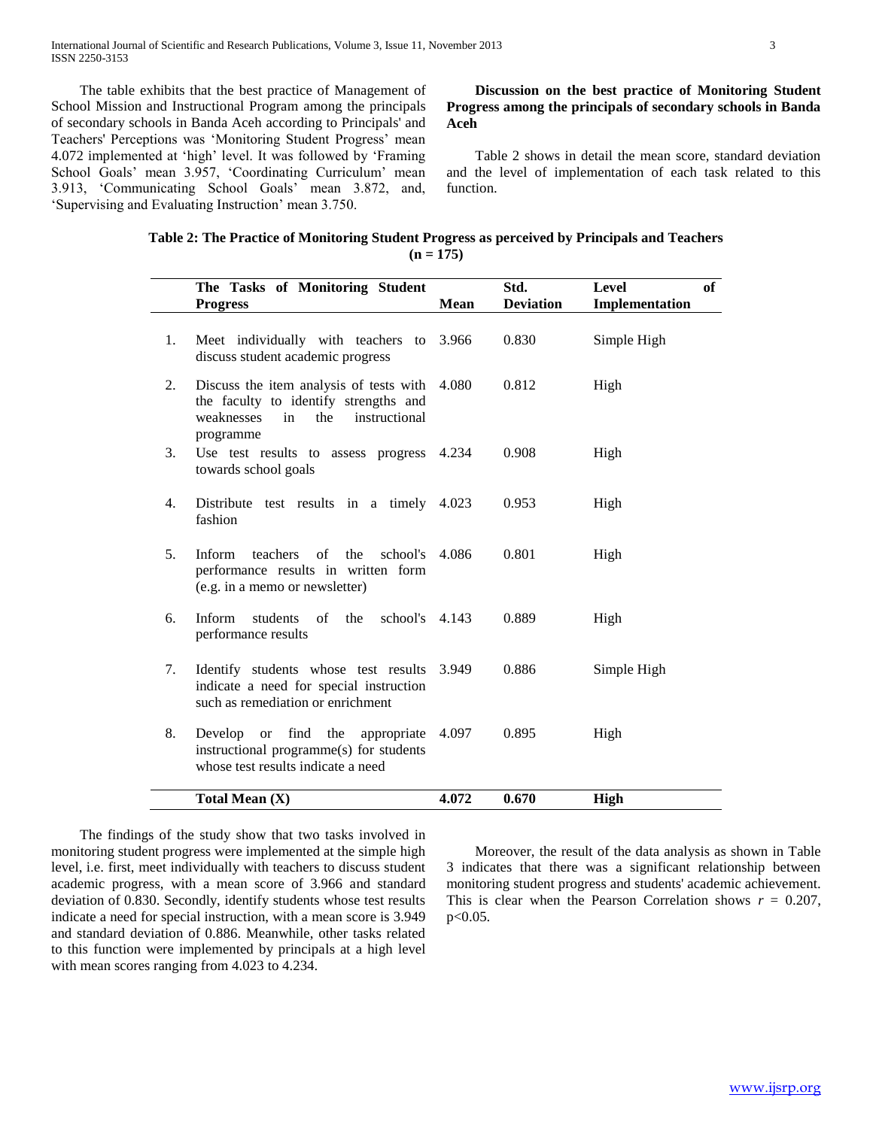The table exhibits that the best practice of Management of School Mission and Instructional Program among the principals of secondary schools in Banda Aceh according to Principals' and Teachers' Perceptions was 'Monitoring Student Progress' mean 4.072 implemented at 'high' level. It was followed by 'Framing School Goals' mean 3.957, 'Coordinating Curriculum' mean 3.913, 'Communicating School Goals' mean 3.872, and, 'Supervising and Evaluating Instruction' mean 3.750.

 **Discussion on the best practice of Monitoring Student Progress among the principals of secondary schools in Banda Aceh**

 Table 2 shows in detail the mean score, standard deviation and the level of implementation of each task related to this function.

| Table 2: The Practice of Monitoring Student Progress as perceived by Principals and Teachers |  |
|----------------------------------------------------------------------------------------------|--|
| $(n = 175)$                                                                                  |  |

|                | The Tasks of Monitoring Student<br><b>Progress</b>                                                                                              | <b>Mean</b> | Std.<br><b>Deviation</b> | Level<br>of<br>Implementation |
|----------------|-------------------------------------------------------------------------------------------------------------------------------------------------|-------------|--------------------------|-------------------------------|
| 1.             | Meet individually with teachers to 3.966<br>discuss student academic progress                                                                   |             | 0.830                    | Simple High                   |
| 2.             | Discuss the item analysis of tests with 4.080<br>the faculty to identify strengths and<br>weaknesses<br>the<br>instructional<br>in<br>programme |             | 0.812                    | High                          |
| 3.             | Use test results to assess progress 4.234<br>towards school goals                                                                               |             | 0.908                    | High                          |
| 4.             | Distribute test results in a timely 4.023<br>fashion                                                                                            |             | 0.953                    | High                          |
| 5 <sub>1</sub> | teachers<br>$\sigma$ f<br>the<br>school's 4.086<br>Inform<br>performance results in written form<br>(e.g. in a memo or newsletter)              |             | 0.801                    | High                          |
| 6.             | Inform<br>$\sigma$ f<br>the<br>school's $4.143$<br>students<br>performance results                                                              |             | 0.889                    | High                          |
| 7.             | Identify students whose test results<br>indicate a need for special instruction<br>such as remediation or enrichment                            | 3.949       | 0.886                    | Simple High                   |
| 8.             | find<br>Develop<br>the<br><sub>or</sub><br>appropriate<br>instructional programme(s) for students<br>whose test results indicate a need         | 4.097       | 0.895                    | High                          |
|                | Total Mean (X)                                                                                                                                  | 4.072       | 0.670                    | <b>High</b>                   |

 The findings of the study show that two tasks involved in monitoring student progress were implemented at the simple high level, i.e. first, meet individually with teachers to discuss student academic progress, with a mean score of 3.966 and standard deviation of 0.830. Secondly, identify students whose test results indicate a need for special instruction, with a mean score is 3.949 and standard deviation of 0.886. Meanwhile, other tasks related to this function were implemented by principals at a high level with mean scores ranging from 4.023 to 4.234.

 Moreover, the result of the data analysis as shown in Table 3 indicates that there was a significant relationship between monitoring student progress and students' academic achievement. This is clear when the Pearson Correlation shows  $r = 0.207$ , p<0.05.